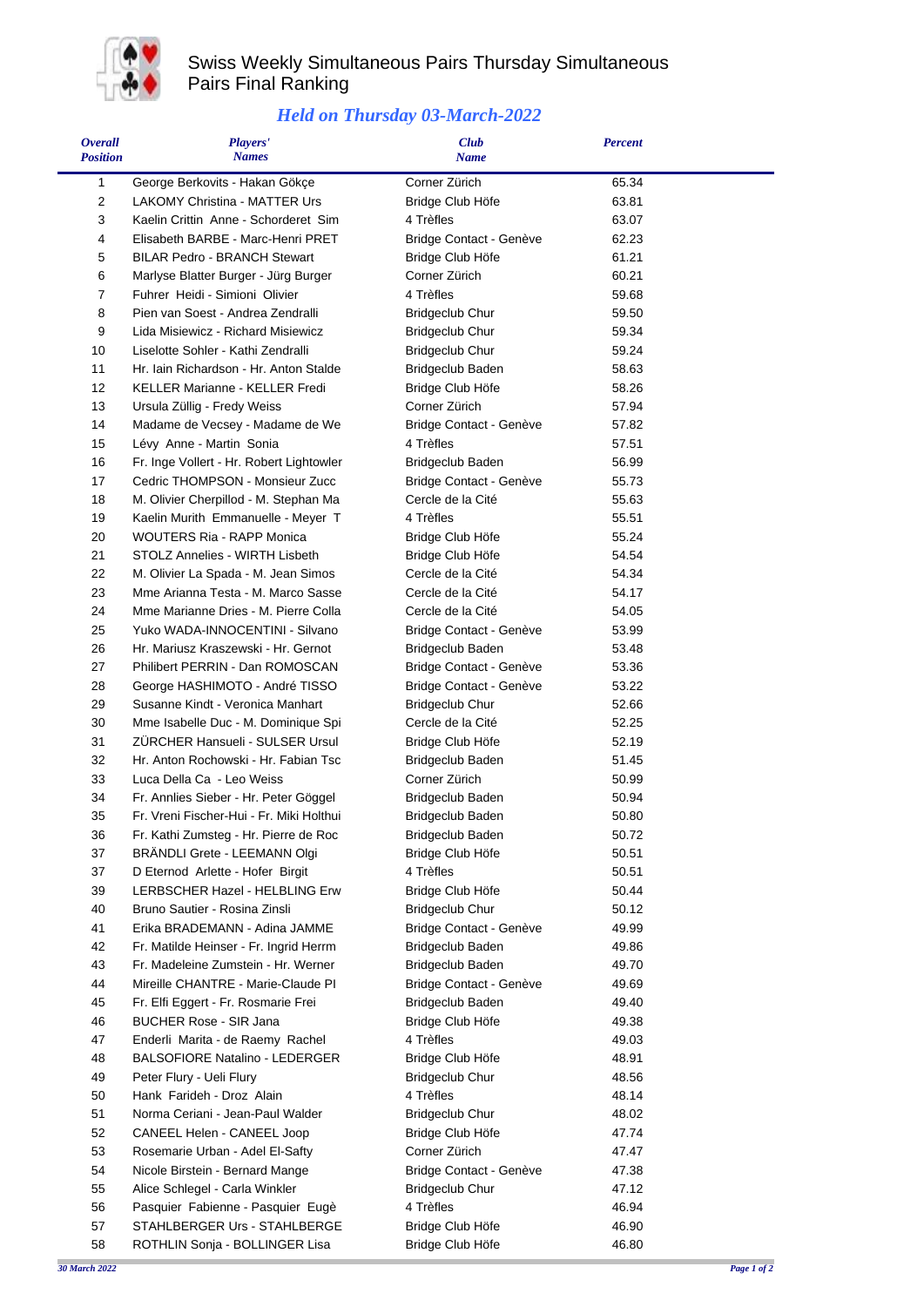

## Swiss Weekly Simultaneous Pairs Thursday Simultaneous Pairs Final Ranking

## *Held on Thursday 03-March-2022*

| <b>Overall</b><br><b>Position</b> | <b>Players'</b><br><b>Names</b>                                    | <b>Club</b><br><b>Name</b>        | <b>Percent</b> |  |
|-----------------------------------|--------------------------------------------------------------------|-----------------------------------|----------------|--|
| 1                                 | George Berkovits - Hakan Gökçe                                     | Corner Zürich                     | 65.34          |  |
| 2                                 | <b>LAKOMY Christina - MATTER Urs</b>                               | Bridge Club Höfe                  | 63.81          |  |
| 3                                 | Kaelin Crittin Anne - Schorderet Sim                               | 4 Trèfles                         | 63.07          |  |
| 4                                 | Elisabeth BARBE - Marc-Henri PRET                                  | Bridge Contact - Genève           | 62.23          |  |
| 5                                 | <b>BILAR Pedro - BRANCH Stewart</b>                                | Bridge Club Höfe                  | 61.21          |  |
| 6                                 | Marlyse Blatter Burger - Jürg Burger                               | Corner Zürich                     | 60.21          |  |
| 7                                 | Fuhrer Heidi - Simioni Olivier                                     | 4 Trèfles                         | 59.68          |  |
| 8                                 | Pien van Soest - Andrea Zendralli                                  | <b>Bridgeclub Chur</b>            | 59.50          |  |
| 9                                 | Lida Misiewicz - Richard Misiewicz                                 | <b>Bridgeclub Chur</b>            | 59.34          |  |
| 10                                | Liselotte Sohler - Kathi Zendralli                                 | <b>Bridgeclub Chur</b>            | 59.24          |  |
| 11                                | Hr. Iain Richardson - Hr. Anton Stalde                             | Bridgeclub Baden                  | 58.63          |  |
| 12<br>13                          | KELLER Marianne - KELLER Fredi                                     | Bridge Club Höfe<br>Corner Zürich | 58.26<br>57.94 |  |
| 14                                | Ursula Züllig - Fredy Weiss<br>Madame de Vecsey - Madame de We     | Bridge Contact - Genève           | 57.82          |  |
| 15                                | Lévy Anne - Martin Sonia                                           | 4 Trèfles                         | 57.51          |  |
| 16                                | Fr. Inge Vollert - Hr. Robert Lightowler                           | Bridgeclub Baden                  | 56.99          |  |
| 17                                | Cedric THOMPSON - Monsieur Zucc                                    | Bridge Contact - Genève           | 55.73          |  |
| 18                                | M. Olivier Cherpillod - M. Stephan Ma                              | Cercle de la Cité                 | 55.63          |  |
| 19                                | Kaelin Murith Emmanuelle - Meyer T                                 | 4 Trèfles                         | 55.51          |  |
| 20                                | <b>WOUTERS Ria - RAPP Monica</b>                                   | Bridge Club Höfe                  | 55.24          |  |
| 21                                | <b>STOLZ Annelies - WIRTH Lisbeth</b>                              | Bridge Club Höfe                  | 54.54          |  |
| 22                                | M. Olivier La Spada - M. Jean Simos                                | Cercle de la Cité                 | 54.34          |  |
| 23                                | Mme Arianna Testa - M. Marco Sasse                                 | Cercle de la Cité                 | 54.17          |  |
| 24                                | Mme Marianne Dries - M. Pierre Colla                               | Cercle de la Cité                 | 54.05          |  |
| 25                                | Yuko WADA-INNOCENTINI - Silvano                                    | Bridge Contact - Genève           | 53.99          |  |
| 26                                | Hr. Mariusz Kraszewski - Hr. Gernot                                | Bridgeclub Baden                  | 53.48          |  |
| 27                                | Philibert PERRIN - Dan ROMOSCAN                                    | Bridge Contact - Genève           | 53.36          |  |
| 28                                | George HASHIMOTO - André TISSO                                     | Bridge Contact - Genève           | 53.22          |  |
| 29                                | Susanne Kindt - Veronica Manhart                                   | <b>Bridgeclub Chur</b>            | 52.66          |  |
| 30                                | Mme Isabelle Duc - M. Dominique Spi                                | Cercle de la Cité                 | 52.25          |  |
| 31                                | ZURCHER Hansueli - SULSER Ursul                                    | Bridge Club Höfe                  | 52.19          |  |
| 32                                | Hr. Anton Rochowski - Hr. Fabian Tsc                               | Bridgeclub Baden                  | 51.45          |  |
| 33                                | Luca Della Ca - Leo Weiss                                          | Corner Zürich                     | 50.99          |  |
| 34                                | Fr. Annlies Sieber - Hr. Peter Göggel                              | Bridgeclub Baden                  | 50.94          |  |
| 35                                | Fr. Vreni Fischer-Hui - Fr. Miki Holthui                           | <b>Bridgeclub Baden</b>           | 50.80          |  |
| 36                                | Fr. Kathi Zumsteg - Hr. Pierre de Roc                              | Bridgeclub Baden                  | 50.72          |  |
| 37<br>37                          | <b>BRANDLI Grete - LEEMANN Olgi</b>                                | Bridge Club Höfe<br>4 Trèfles     | 50.51<br>50.51 |  |
| 39                                | D Eternod Arlette - Hofer Birgit<br>LERBSCHER Hazel - HELBLING Erw | Bridge Club Höfe                  | 50.44          |  |
| 40                                | Bruno Sautier - Rosina Zinsli                                      | <b>Bridgeclub Chur</b>            | 50.12          |  |
| 41                                | Erika BRADEMANN - Adina JAMME                                      | Bridge Contact - Genève           | 49.99          |  |
| 42                                | Fr. Matilde Heinser - Fr. Ingrid Herrm                             | Bridgeclub Baden                  | 49.86          |  |
| 43                                | Fr. Madeleine Zumstein - Hr. Werner                                | Bridgeclub Baden                  | 49.70          |  |
| 44                                | Mireille CHANTRE - Marie-Claude PI                                 | Bridge Contact - Genève           | 49.69          |  |
| 45                                | Fr. Elfi Eggert - Fr. Rosmarie Frei                                | Bridgeclub Baden                  | 49.40          |  |
| 46                                | <b>BUCHER Rose - SIR Jana</b>                                      | Bridge Club Höfe                  | 49.38          |  |
| 47                                | Enderli Marita - de Raemy Rachel                                   | 4 Trèfles                         | 49.03          |  |
| 48                                | <b>BALSOFIORE Natalino - LEDERGER</b>                              | Bridge Club Höfe                  | 48.91          |  |
| 49                                | Peter Flury - Ueli Flury                                           | <b>Bridgeclub Chur</b>            | 48.56          |  |
| 50                                | Hank Farideh - Droz Alain                                          | 4 Trèfles                         | 48.14          |  |
| 51                                | Norma Ceriani - Jean-Paul Walder                                   | <b>Bridgeclub Chur</b>            | 48.02          |  |
| 52                                | CANEEL Helen - CANEEL Joop                                         | Bridge Club Höfe                  | 47.74          |  |
| 53                                | Rosemarie Urban - Adel El-Safty                                    | Corner Zürich                     | 47.47          |  |
| 54                                | Nicole Birstein - Bernard Mange                                    | Bridge Contact - Genève           | 47.38          |  |
| 55                                | Alice Schlegel - Carla Winkler                                     | <b>Bridgeclub Chur</b>            | 47.12          |  |
| 56                                | Pasquier Fabienne - Pasquier Eugè                                  | 4 Trèfles                         | 46.94          |  |
| 57                                | STAHLBERGER Urs - STAHLBERGE                                       | Bridge Club Höfe                  | 46.90          |  |
| 58                                | ROTHLIN Sonja - BOLLINGER Lisa                                     | Bridge Club Höfe                  | 46.80          |  |